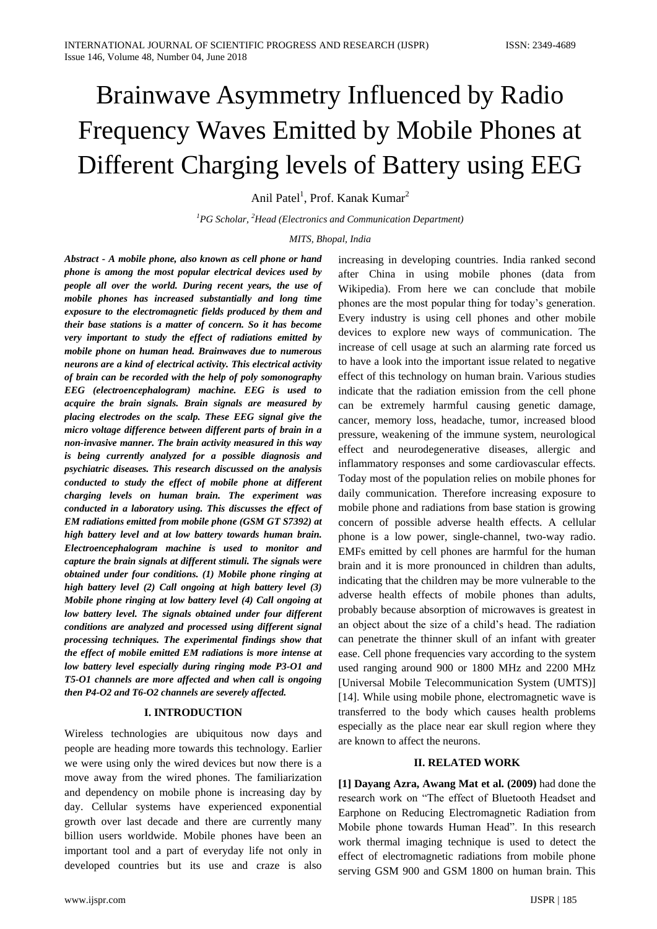# Brainwave Asymmetry Influenced by Radio Frequency Waves Emitted by Mobile Phones at Different Charging levels of Battery using EEG

Anil Patel<sup>1</sup>, Prof. Kanak Kumar<sup>2</sup>

*<sup>1</sup>PG Scholar, <sup>2</sup>Head (Electronics and Communication Department)*

## *MITS, Bhopal, India*

*Abstract - A mobile phone, also known as cell phone or hand phone is among the most popular electrical devices used by people all over the world. During recent years, the use of mobile phones has increased substantially and long time exposure to the electromagnetic fields produced by them and their base stations is a matter of concern. So it has become very important to study the effect of radiations emitted by mobile phone on human head. Brainwaves due to numerous neurons are a kind of electrical activity. This electrical activity of brain can be recorded with the help of poly somonography EEG (electroencephalogram) machine. EEG is used to acquire the brain signals. Brain signals are measured by placing electrodes on the scalp. These EEG signal give the micro voltage difference between different parts of brain in a non-invasive manner. The brain activity measured in this way is being currently analyzed for a possible diagnosis and psychiatric diseases. This research discussed on the analysis conducted to study the effect of mobile phone at different charging levels on human brain. The experiment was conducted in a laboratory using. This discusses the effect of EM radiations emitted from mobile phone (GSM GT S7392) at high battery level and at low battery towards human brain. Electroencephalogram machine is used to monitor and capture the brain signals at different stimuli. The signals were obtained under four conditions. (1) Mobile phone ringing at high battery level (2) Call ongoing at high battery level (3) Mobile phone ringing at low battery level (4) Call ongoing at low battery level. The signals obtained under four different conditions are analyzed and processed using different signal processing techniques. The experimental findings show that the effect of mobile emitted EM radiations is more intense at low battery level especially during ringing mode P3-O1 and T5-O1 channels are more affected and when call is ongoing then P4-O2 and T6-O2 channels are severely affected.*

### **I. INTRODUCTION**

Wireless technologies are ubiquitous now days and people are heading more towards this technology. Earlier we were using only the wired devices but now there is a move away from the wired phones. The familiarization and dependency on mobile phone is increasing day by day. Cellular systems have experienced exponential growth over last decade and there are currently many billion users worldwide. Mobile phones have been an important tool and a part of everyday life not only in developed countries but its use and craze is also

increasing in developing countries. India ranked second after China in using mobile phones (data from Wikipedia). From here we can conclude that mobile phones are the most popular thing for today"s generation. Every industry is using cell phones and other mobile devices to explore new ways of communication. The increase of cell usage at such an alarming rate forced us to have a look into the important issue related to negative effect of this technology on human brain. Various studies indicate that the radiation emission from the cell phone can be extremely harmful causing genetic damage, cancer, memory loss, headache, tumor, increased blood pressure, weakening of the immune system, neurological effect and neurodegenerative diseases, allergic and inflammatory responses and some cardiovascular effects. Today most of the population relies on mobile phones for daily communication. Therefore increasing exposure to mobile phone and radiations from base station is growing concern of possible adverse health effects. A cellular phone is a low power, single-channel, two-way radio. EMFs emitted by cell phones are harmful for the human brain and it is more pronounced in children than adults, indicating that the children may be more vulnerable to the adverse health effects of mobile phones than adults, probably because absorption of microwaves is greatest in an object about the size of a child"s head. The radiation can penetrate the thinner skull of an infant with greater ease. Cell phone frequencies vary according to the system used ranging around 900 or 1800 MHz and 2200 MHz [Universal Mobile Telecommunication System (UMTS)] [14]. While using mobile phone, electromagnetic wave is transferred to the body which causes health problems especially as the place near ear skull region where they are known to affect the neurons.

### **II. RELATED WORK**

**[1] Dayang Azra, Awang Mat et al. (2009)** had done the research work on "The effect of Bluetooth Headset and Earphone on Reducing Electromagnetic Radiation from Mobile phone towards Human Head". In this research work thermal imaging technique is used to detect the effect of electromagnetic radiations from mobile phone serving GSM 900 and GSM 1800 on human brain. This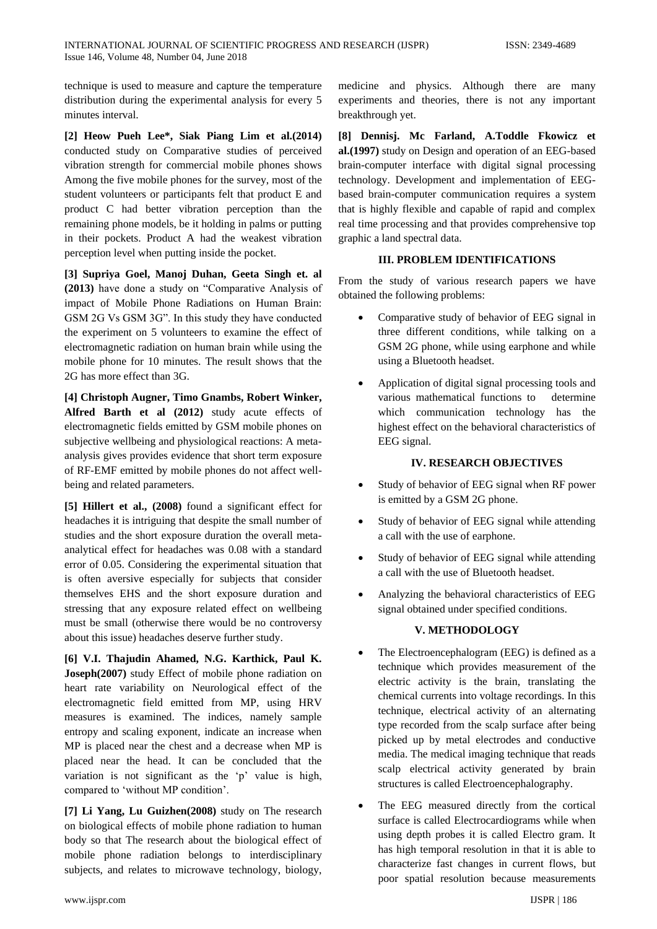technique is used to measure and capture the temperature distribution during the experimental analysis for every 5 minutes interval.

**[2] Heow Pueh Lee\*, Siak Piang Lim et al.(2014)** conducted study on Comparative studies of perceived vibration strength for commercial mobile phones shows Among the five mobile phones for the survey, most of the student volunteers or participants felt that product E and product C had better vibration perception than the remaining phone models, be it holding in palms or putting in their pockets. Product A had the weakest vibration perception level when putting inside the pocket.

**[3] Supriya Goel, Manoj Duhan, Geeta Singh et. al (2013)** have done a study on "Comparative Analysis of impact of Mobile Phone Radiations on Human Brain: GSM 2G Vs GSM 3G". In this study they have conducted the experiment on 5 volunteers to examine the effect of electromagnetic radiation on human brain while using the mobile phone for 10 minutes. The result shows that the 2G has more effect than 3G.

**[4] Christoph Augner, Timo Gnambs, Robert Winker, Alfred Barth et al (2012)** study acute effects of electromagnetic fields emitted by GSM mobile phones on subjective wellbeing and physiological reactions: A metaanalysis gives provides evidence that short term exposure of RF-EMF emitted by mobile phones do not affect wellbeing and related parameters.

**[5] Hillert et al., (2008)** found a significant effect for headaches it is intriguing that despite the small number of studies and the short exposure duration the overall metaanalytical effect for headaches was 0.08 with a standard error of 0.05. Considering the experimental situation that is often aversive especially for subjects that consider themselves EHS and the short exposure duration and stressing that any exposure related effect on wellbeing must be small (otherwise there would be no controversy about this issue) headaches deserve further study.

**[6] V.I. Thajudin Ahamed, N.G. Karthick, Paul K. Joseph(2007)** study Effect of mobile phone radiation on heart rate variability on Neurological effect of the electromagnetic field emitted from MP, using HRV measures is examined. The indices, namely sample entropy and scaling exponent, indicate an increase when MP is placed near the chest and a decrease when MP is placed near the head. It can be concluded that the variation is not significant as the 'p' value is high, compared to "without MP condition".

**[7] Li Yang, Lu Guizhen(2008)** study on The research on biological effects of mobile phone radiation to human body so that The research about the biological effect of mobile phone radiation belongs to interdisciplinary subjects, and relates to microwave technology, biology,

**[8] Dennisj. Mc Farland, A.Toddle Fkowicz et al.(1997)** study on Design and operation of an EEG-based brain-computer interface with digital signal processing technology. Development and implementation of EEGbased brain-computer communication requires a system that is highly flexible and capable of rapid and complex real time processing and that provides comprehensive top graphic a land spectral data.

# **III. PROBLEM IDENTIFICATIONS**

From the study of various research papers we have obtained the following problems:

- Comparative study of behavior of EEG signal in three different conditions, while talking on a GSM 2G phone, while using earphone and while using a Bluetooth headset.
- Application of digital signal processing tools and various mathematical functions to determine which communication technology has the highest effect on the behavioral characteristics of EEG signal.

# **IV. RESEARCH OBJECTIVES**

- Study of behavior of EEG signal when RF power is emitted by a GSM 2G phone.
- Study of behavior of EEG signal while attending a call with the use of earphone.
- Study of behavior of EEG signal while attending a call with the use of Bluetooth headset.
- Analyzing the behavioral characteristics of EEG signal obtained under specified conditions.

# **V. METHODOLOGY**

- The Electroencephalogram (EEG) is defined as a technique which provides measurement of the electric activity is the brain, translating the chemical currents into voltage recordings. In this technique, electrical activity of an alternating type recorded from the scalp surface after being picked up by metal electrodes and conductive media. The medical imaging technique that reads scalp electrical activity generated by brain structures is called Electroencephalography.
- The EEG measured directly from the cortical surface is called Electrocardiograms while when using depth probes it is called Electro gram. It has high temporal resolution in that it is able to characterize fast changes in current flows, but poor spatial resolution because measurements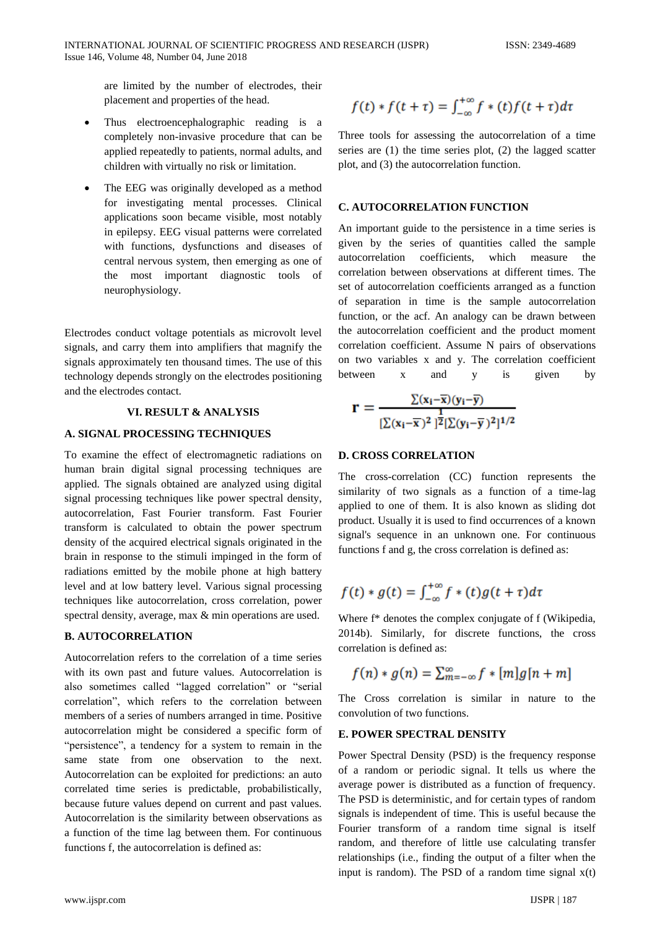are limited by the number of electrodes, their placement and properties of the head.

- Thus electroencephalographic reading is a completely non-invasive procedure that can be applied repeatedly to patients, normal adults, and children with virtually no risk or limitation.
- The EEG was originally developed as a method for investigating mental processes. Clinical applications soon became visible, most notably in epilepsy. EEG visual patterns were correlated with functions, dysfunctions and diseases of central nervous system, then emerging as one of the most important diagnostic tools of neurophysiology.

Electrodes conduct voltage potentials as microvolt level signals, and carry them into amplifiers that magnify the signals approximately ten thousand times. The use of this technology depends strongly on the electrodes positioning and the electrodes contact.

### **VI. RESULT & ANALYSIS**

### **A. SIGNAL PROCESSING TECHNIQUES**

To examine the effect of electromagnetic radiations on human brain digital signal processing techniques are applied. The signals obtained are analyzed using digital signal processing techniques like power spectral density, autocorrelation, Fast Fourier transform. Fast Fourier transform is calculated to obtain the power spectrum density of the acquired electrical signals originated in the brain in response to the stimuli impinged in the form of radiations emitted by the mobile phone at high battery level and at low battery level. Various signal processing techniques like autocorrelation, cross correlation, power spectral density, average, max & min operations are used.

## **B. AUTOCORRELATION**

Autocorrelation refers to the correlation of a time series with its own past and future values. Autocorrelation is also sometimes called "lagged correlation" or "serial correlation", which refers to the correlation between members of a series of numbers arranged in time. Positive autocorrelation might be considered a specific form of "persistence", a tendency for a system to remain in the same state from one observation to the next. Autocorrelation can be exploited for predictions: an auto correlated time series is predictable, probabilistically, because future values depend on current and past values. Autocorrelation is the similarity between observations as a function of the time lag between them. For continuous functions f, the autocorrelation is defined as:

$$
f(t) * f(t+\tau) = \int_{-\infty}^{+\infty} f * (t) f(t+\tau) d\tau
$$

Three tools for assessing the autocorrelation of a time series are (1) the time series plot, (2) the lagged scatter plot, and (3) the autocorrelation function.

### **C. AUTOCORRELATION FUNCTION**

An important guide to the persistence in a time series is given by the series of quantities called the sample autocorrelation coefficients, which measure the correlation between observations at different times. The set of autocorrelation coefficients arranged as a function of separation in time is the sample autocorrelation function, or the acf. An analogy can be drawn between the autocorrelation coefficient and the product moment correlation coefficient. Assume N pairs of observations on two variables x and y. The correlation coefficient between x and y is given by

$$
r=\tfrac{\sum (x_i-\overline{x})(y_i-\overline{y})}{[\sum (x_i-\overline{x})^2]^{\frac{1}{2}}[\sum (y_i-\overline{y})^2]^{1/2}}
$$

### **D. CROSS CORRELATION**

The cross-correlation (CC) function represents the similarity of two signals as a function of a time-lag applied to one of them. It is also known as sliding dot product. Usually it is used to find occurrences of a known signal's sequence in an unknown one. For continuous functions f and g, the cross correlation is defined as:

# $f(t) * g(t) = \int_{-\infty}^{+\infty} f * (t) g(t + \tau) d\tau$

Where f\* denotes the complex conjugate of f (Wikipedia, 2014b). Similarly, for discrete functions, the cross correlation is defined as:

$$
f(n) * g(n) = \sum_{m=-\infty}^{\infty} f * [m]g[n+m]
$$

The Cross correlation is similar in nature to the convolution of two functions.

# **E. POWER SPECTRAL DENSITY**

Power Spectral Density (PSD) is the frequency response of a random or periodic signal. It tells us where the average power is distributed as a function of frequency. The PSD is deterministic, and for certain types of random signals is independent of time. This is useful because the Fourier transform of a random time signal is itself random, and therefore of little use calculating transfer relationships (i.e., finding the output of a filter when the input is random). The PSD of a random time signal  $x(t)$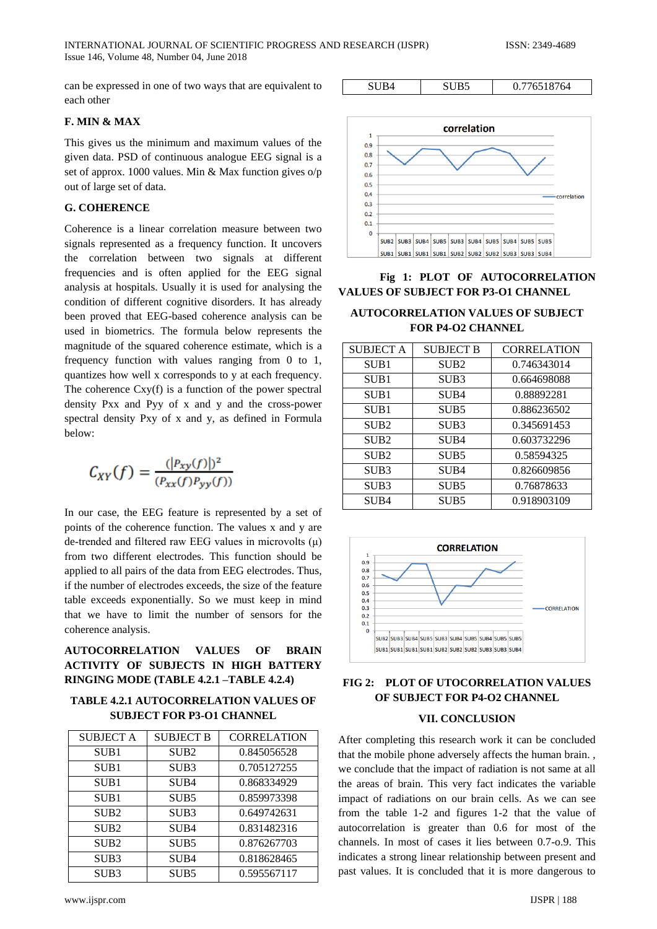can be expressed in one of two ways that are equivalent to each other

# **F. MIN & MAX**

This gives us the minimum and maximum values of the given data. PSD of continuous analogue EEG signal is a set of approx. 1000 values. Min & Max function gives o/p out of large set of data.

# **G. COHERENCE**

Coherence is a linear correlation measure between two signals represented as a frequency function. It uncovers the correlation between two signals at different frequencies and is often applied for the EEG signal analysis at hospitals. Usually it is used for analysing the condition of different cognitive disorders. It has already been proved that EEG-based coherence analysis can be used in biometrics. The formula below represents the magnitude of the squared coherence estimate, which is a frequency function with values ranging from 0 to 1, quantizes how well x corresponds to y at each frequency. The coherence Cxy(f) is a function of the power spectral density Pxx and Pyy of x and y and the cross-power spectral density Pxy of x and y, as defined in Formula below:

$$
C_{XY}(f) = \frac{(|P_{xy}(f)|)^2}{(P_{xx}(f)P_{yy}(f))}
$$

In our case, the EEG feature is represented by a set of points of the coherence function. The values x and y are de-trended and filtered raw EEG values in microvolts (μ) from two different electrodes. This function should be applied to all pairs of the data from EEG electrodes. Thus, if the number of electrodes exceeds, the size of the feature table exceeds exponentially. So we must keep in mind that we have to limit the number of sensors for the coherence analysis.

**AUTOCORRELATION VALUES OF BRAIN ACTIVITY OF SUBJECTS IN HIGH BATTERY RINGING MODE (TABLE 4.2.1 –TABLE 4.2.4)**

# **TABLE 4.2.1 AUTOCORRELATION VALUES OF SUBJECT FOR P3-O1 CHANNEL**

| <b>SUBJECT A</b> | <b>SUBJECT B</b> | <b>CORRELATION</b> |
|------------------|------------------|--------------------|
| SUB <sub>1</sub> | SUB <sub>2</sub> | 0.845056528        |
| SUB <sub>1</sub> | SUB <sub>3</sub> | 0.705127255        |
| SUB <sub>1</sub> | SUB <sub>4</sub> | 0.868334929        |
| SUB <sub>1</sub> | SUB5             | 0.859973398        |
| SUB <sub>2</sub> | SUB <sub>3</sub> | 0.649742631        |
| SUB <sub>2</sub> | SUB4             | 0.831482316        |
| SUB <sub>2</sub> | SUB5             | 0.876267703        |
| SUB <sub>3</sub> | SUB <sub>4</sub> | 0.818628465        |
| SUB <sub>3</sub> | SUB <sub>5</sub> | 0.595567117        |



SUB4 | SUB5 | 0.776518764

# **Fig 1: PLOT OF AUTOCORRELATION VALUES OF SUBJECT FOR P3-O1 CHANNEL**

# **AUTOCORRELATION VALUES OF SUBJECT FOR P4-O2 CHANNEL**

| <b>SUBJECT A</b> | <b>SUBJECT B</b> | <b>CORRELATION</b> |
|------------------|------------------|--------------------|
| SUB <sub>1</sub> | SUB <sub>2</sub> | 0.746343014        |
| SUB <sub>1</sub> | SUB <sub>3</sub> | 0.664698088        |
| SUB1             | SUB4             | 0.88892281         |
| SUB <sub>1</sub> | SUB5             | 0.886236502        |
| SUB <sub>2</sub> | SUB <sub>3</sub> | 0.345691453        |
| SUB <sub>2</sub> | SUB4             | 0.603732296        |
| SUB <sub>2</sub> | SUB5             | 0.58594325         |
| SUB <sub>3</sub> | SUB4             | 0.826609856        |
| SUB3             | SUB <sub>5</sub> | 0.76878633         |
| SUB4             | SUB5             | 0.918903109        |



# **FIG 2: PLOT OF UTOCORRELATION VALUES OF SUBJECT FOR P4-O2 CHANNEL**

### **VII. CONCLUSION**

After completing this research work it can be concluded that the mobile phone adversely affects the human brain. , we conclude that the impact of radiation is not same at all the areas of brain. This very fact indicates the variable impact of radiations on our brain cells. As we can see from the table 1-2 and figures 1-2 that the value of autocorrelation is greater than 0.6 for most of the channels. In most of cases it lies between 0.7-o.9. This indicates a strong linear relationship between present and past values. It is concluded that it is more dangerous to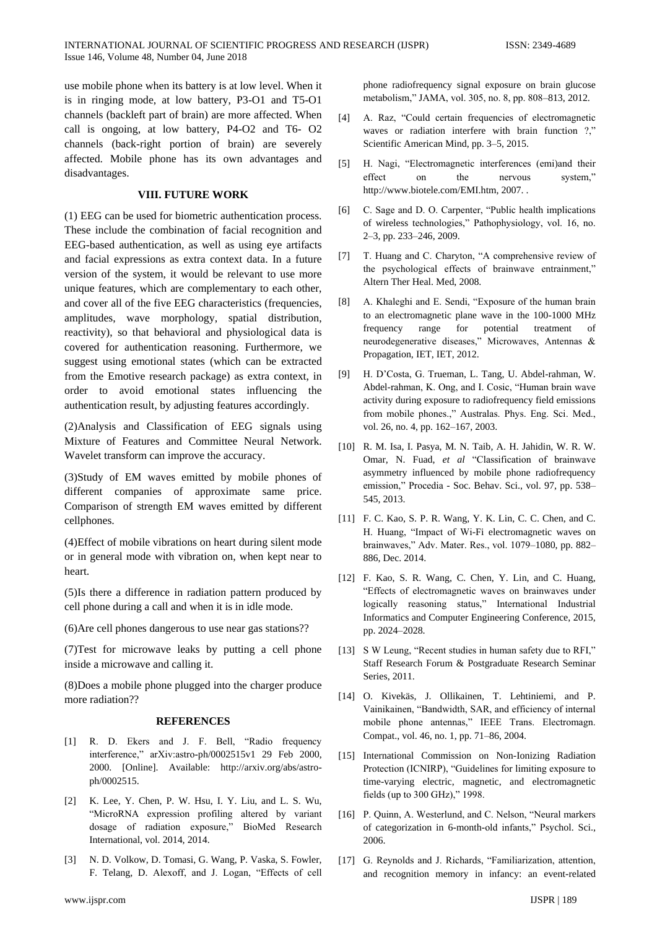use mobile phone when its battery is at low level. When it is in ringing mode, at low battery, P3-O1 and T5-O1 channels (backleft part of brain) are more affected. When call is ongoing, at low battery, P4-O2 and T6- O2 channels (back-right portion of brain) are severely affected. Mobile phone has its own advantages and disadvantages.

### **VIII. FUTURE WORK**

(1) EEG can be used for biometric authentication process. These include the combination of facial recognition and EEG-based authentication, as well as using eye artifacts and facial expressions as extra context data. In a future version of the system, it would be relevant to use more unique features, which are complementary to each other, and cover all of the five EEG characteristics (frequencies, amplitudes, wave morphology, spatial distribution, reactivity), so that behavioral and physiological data is covered for authentication reasoning. Furthermore, we suggest using emotional states (which can be extracted from the Emotive research package) as extra context, in order to avoid emotional states influencing the authentication result, by adjusting features accordingly.

(2)Analysis and Classification of EEG signals using Mixture of Features and Committee Neural Network. Wavelet transform can improve the accuracy.

(3)Study of EM waves emitted by mobile phones of different companies of approximate same price. Comparison of strength EM waves emitted by different cellphones.

(4)Effect of mobile vibrations on heart during silent mode or in general mode with vibration on, when kept near to heart.

(5)Is there a difference in radiation pattern produced by cell phone during a call and when it is in idle mode.

(6)Are cell phones dangerous to use near gas stations??

(7)Test for microwave leaks by putting a cell phone inside a microwave and calling it.

(8)Does a mobile phone plugged into the charger produce more radiation??

### **REFERENCES**

- [1] R. D. Ekers and J. F. Bell, "Radio frequency interference," arXiv:astro-ph/0002515v1 29 Feb 2000, 2000. [Online]. Available: http://arxiv.org/abs/astroph/0002515.
- [2] K. Lee, Y. Chen, P. W. Hsu, I. Y. Liu, and L. S. Wu, "MicroRNA expression profiling altered by variant dosage of radiation exposure," BioMed Research International, vol. 2014, 2014.
- [3] N. D. Volkow, D. Tomasi, G. Wang, P. Vaska, S. Fowler, F. Telang, D. Alexoff, and J. Logan, "Effects of cell

phone radiofrequency signal exposure on brain glucose metabolism," JAMA, vol. 305, no. 8, pp. 808–813, 2012.

- [4] A. Raz, "Could certain frequencies of electromagnetic waves or radiation interfere with brain function ?." Scientific American Mind, pp. 3–5, 2015.
- [5] H. Nagi, "Electromagnetic interferences (emi)and their effect on the nervous system," http://www.biotele.com/EMI.htm, 2007. .
- [6] C. Sage and D. O. Carpenter, "Public health implications of wireless technologies," Pathophysiology, vol. 16, no. 2–3, pp. 233–246, 2009.
- [7] T. Huang and C. Charyton, "A comprehensive review of the psychological effects of brainwave entrainment," Altern Ther Heal. Med, 2008.
- [8] A. Khaleghi and E. Sendi, "Exposure of the human brain to an electromagnetic plane wave in the 100-1000 MHz frequency range for potential treatment of neurodegenerative diseases," Microwaves, Antennas & Propagation, IET, IET, 2012.
- [9] H. D"Costa, G. Trueman, L. Tang, U. Abdel-rahman, W. Abdel-rahman, K. Ong, and I. Cosic, "Human brain wave activity during exposure to radiofrequency field emissions from mobile phones.," Australas. Phys. Eng. Sci. Med., vol. 26, no. 4, pp. 162–167, 2003.
- [10] R. M. Isa, I. Pasya, M. N. Taib, A. H. Jahidin, W. R. W. Omar, N. Fuad, *et al* "Classification of brainwave asymmetry influenced by mobile phone radiofrequency emission," Procedia - Soc. Behav. Sci., vol. 97, pp. 538– 545, 2013.
- [11] F. C. Kao, S. P. R. Wang, Y. K. Lin, C. C. Chen, and C. H. Huang, "Impact of Wi-Fi electromagnetic waves on brainwaves," Adv. Mater. Res., vol. 1079–1080, pp. 882– 886, Dec. 2014.
- [12] F. Kao, S. R. Wang, C. Chen, Y. Lin, and C. Huang, "Effects of electromagnetic waves on brainwaves under logically reasoning status," International Industrial Informatics and Computer Engineering Conference, 2015, pp. 2024–2028.
- [13] S W Leung, "Recent studies in human safety due to RFI," Staff Research Forum & Postgraduate Research Seminar Series, 2011.
- [14] O. Kivekäs, J. Ollikainen, T. Lehtiniemi, and P. Vainikainen, "Bandwidth, SAR, and efficiency of internal mobile phone antennas," IEEE Trans. Electromagn. Compat., vol. 46, no. 1, pp. 71–86, 2004.
- [15] International Commission on Non-Ionizing Radiation Protection (ICNIRP), "Guidelines for limiting exposure to time-varying electric, magnetic, and electromagnetic fields (up to 300 GHz)," 1998.
- [16] P. Quinn, A. Westerlund, and C. Nelson, "Neural markers of categorization in 6-month-old infants," Psychol. Sci., 2006.
- [17] G. Reynolds and J. Richards, "Familiarization, attention, and recognition memory in infancy: an event-related